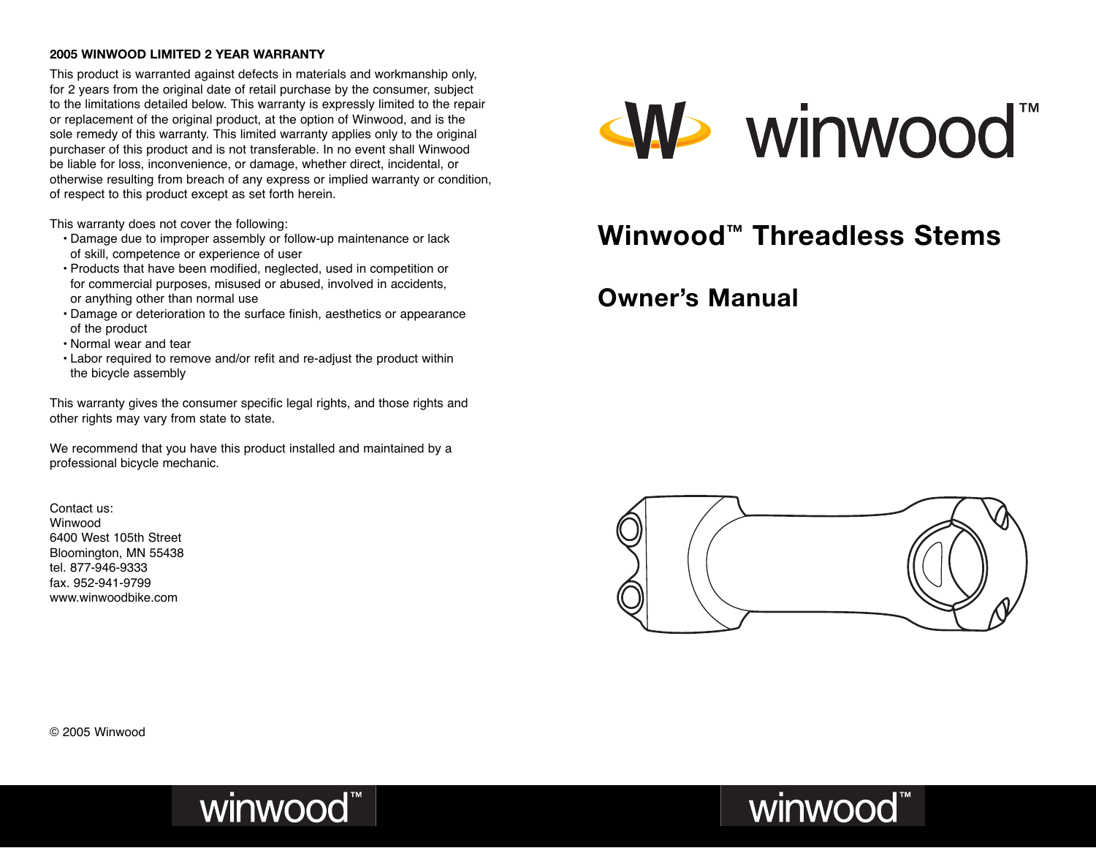#### **2005 WINWOOD LIMITED 2 YEAR WARRANTY**

This product is warranted against defects in materials and workmanship only, for 2 years from the original date of retail purchase by the consumer, subject to the limitations detailed below. This warranty is expressly limited to the repair or replacement of the original product, at the option of Winwood, and is the sole remedy of this warranty. This limited warranty applies only to the original purchaser of this product and is not transferable. In no event shall Winwood be liable for loss, inconvenience, or damage, whether direct, incidental, or otherwise resulting from breach of any express or implied warranty or condition, of respect to this product except as set forth herein.

This warranty does not cover the following:

- Damage due to improper assembly or follow-up maintenance or lack of skill, competence or experience of user
- Products that have been modified, neglected, used in competition or for commercial purposes, misused or abused, involved in accidents, or anything other than normal use
- Damage or deterioration to the surface finish, aesthetics or appearance of the product
- Normal wear and tear
- Labor required to remove and/or refit and re-adjust the product within the bicycle assembly

This warranty gives the consumer specific legal rights, and those rights and other rights may vary from state to state.

We recommend that you have this product installed and maintained by a professional bicycle mechanic.

Contact us: Winwood 6400 West 105th Street Bloomington, MN 55438 tel. 877-946-9333 fax. 952-941-9799 www.winwoodbike.com



### **Winwood™ Threadless Stems**

### **Owner's Manual**



winwood<sup>\*\*</sup>

© 2005 Winwood

# winwood<sup>\*\*</sup>